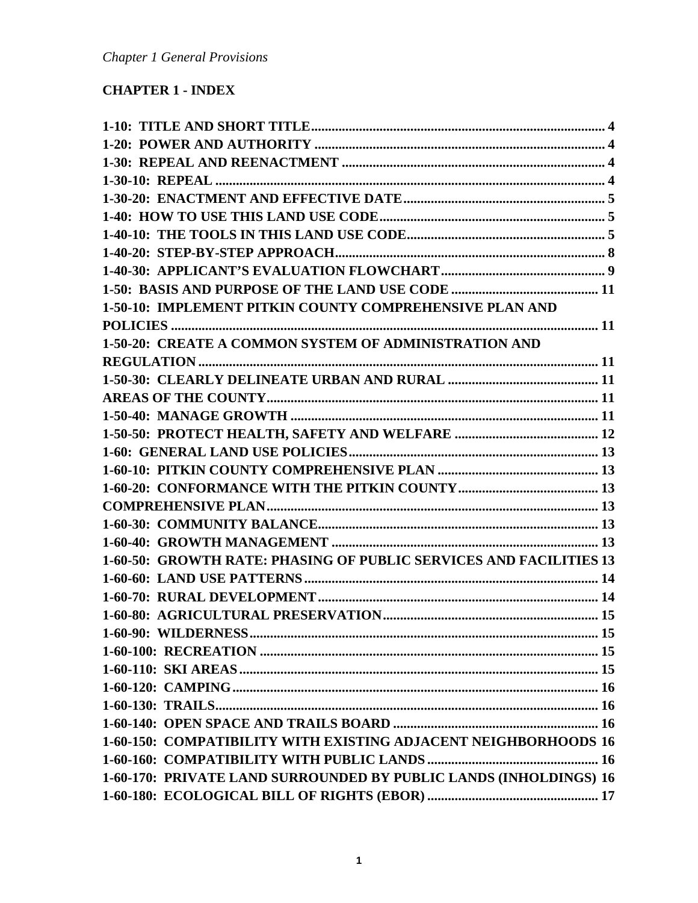# **CHAPTER 1 - INDEX**

| 1-50-10: IMPLEMENT PITKIN COUNTY COMPREHENSIVE PLAN AND            |  |
|--------------------------------------------------------------------|--|
|                                                                    |  |
| 1-50-20: CREATE A COMMON SYSTEM OF ADMINISTRATION AND              |  |
|                                                                    |  |
|                                                                    |  |
|                                                                    |  |
|                                                                    |  |
|                                                                    |  |
|                                                                    |  |
|                                                                    |  |
|                                                                    |  |
|                                                                    |  |
|                                                                    |  |
|                                                                    |  |
| 1-60-50: GROWTH RATE: PHASING OF PUBLIC SERVICES AND FACILITIES 13 |  |
|                                                                    |  |
|                                                                    |  |
|                                                                    |  |
|                                                                    |  |
|                                                                    |  |
|                                                                    |  |
|                                                                    |  |
|                                                                    |  |
|                                                                    |  |
| 1-60-150: COMPATIBILITY WITH EXISTING ADJACENT NEIGHBORHOODS 16    |  |
|                                                                    |  |
| 1-60-170: PRIVATE LAND SURROUNDED BY PUBLIC LANDS (INHOLDINGS) 16  |  |
|                                                                    |  |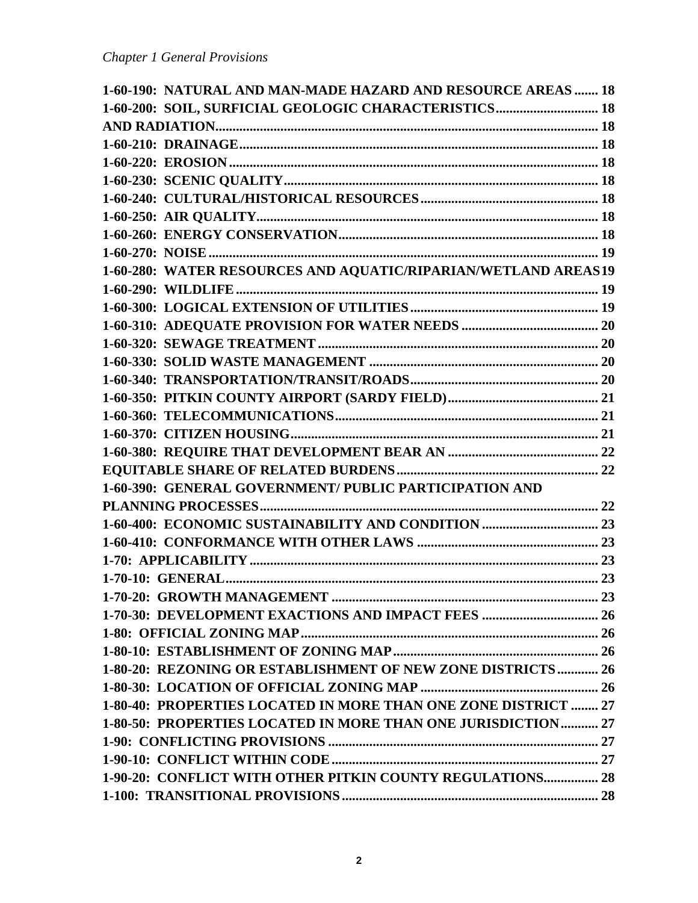| 1-60-190: NATURAL AND MAN-MADE HAZARD AND RESOURCE AREAS  18   |  |
|----------------------------------------------------------------|--|
| 1-60-200: SOIL, SURFICIAL GEOLOGIC CHARACTERISTICS 18          |  |
|                                                                |  |
|                                                                |  |
|                                                                |  |
|                                                                |  |
|                                                                |  |
|                                                                |  |
|                                                                |  |
|                                                                |  |
| 1-60-280: WATER RESOURCES AND AQUATIC/RIPARIAN/WETLAND AREAS19 |  |
|                                                                |  |
|                                                                |  |
|                                                                |  |
|                                                                |  |
|                                                                |  |
|                                                                |  |
|                                                                |  |
|                                                                |  |
|                                                                |  |
|                                                                |  |
|                                                                |  |
| 1-60-390: GENERAL GOVERNMENT/ PUBLIC PARTICIPATION AND         |  |
|                                                                |  |
|                                                                |  |
|                                                                |  |
|                                                                |  |
|                                                                |  |
|                                                                |  |
|                                                                |  |
|                                                                |  |
|                                                                |  |
| 1-80-20: REZONING OR ESTABLISHMENT OF NEW ZONE DISTRICTS  26   |  |
|                                                                |  |
| 1-80-40: PROPERTIES LOCATED IN MORE THAN ONE ZONE DISTRICT  27 |  |
| 1-80-50: PROPERTIES LOCATED IN MORE THAN ONE JURISDICTION 27   |  |
|                                                                |  |
|                                                                |  |
| 1-90-20: CONFLICT WITH OTHER PITKIN COUNTY REGULATIONS 28      |  |
|                                                                |  |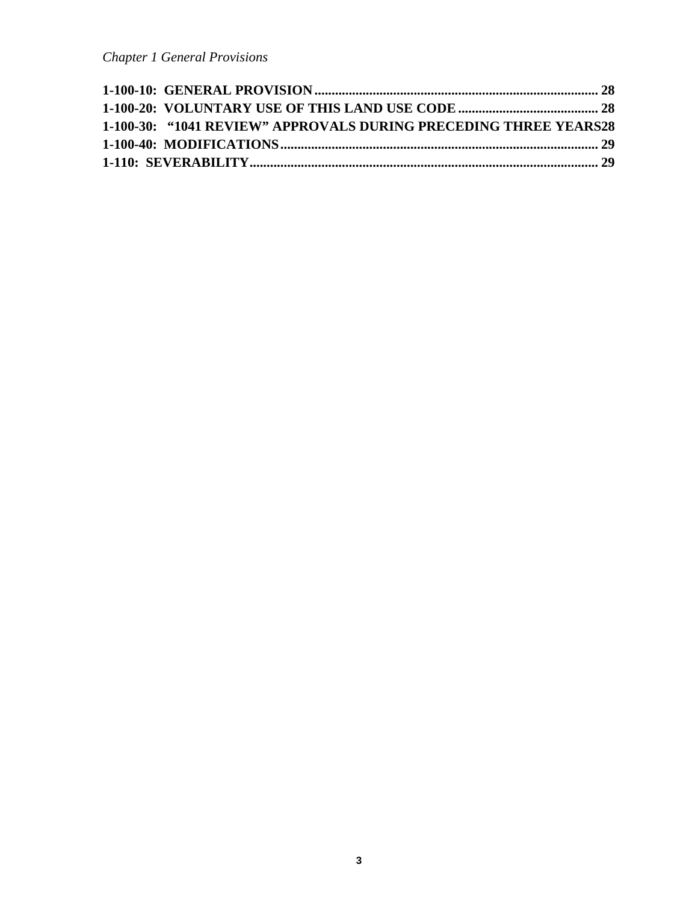| 1-100-30: "1041 REVIEW" APPROVALS DURING PRECEDING THREE YEARS28 |  |
|------------------------------------------------------------------|--|
|                                                                  |  |
|                                                                  |  |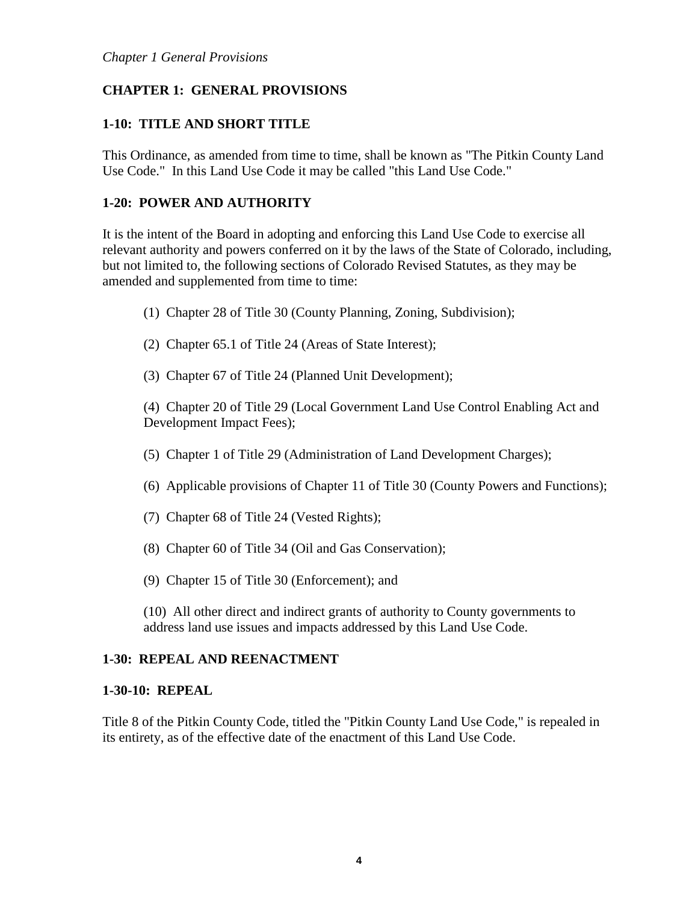# **CHAPTER 1: GENERAL PROVISIONS**

### <span id="page-3-0"></span>**1-10: TITLE AND SHORT TITLE**

This Ordinance, as amended from time to time, shall be known as "The Pitkin County Land Use Code." In this Land Use Code it may be called "this Land Use Code."

#### <span id="page-3-1"></span>**1-20: POWER AND AUTHORITY**

It is the intent of the Board in adopting and enforcing this Land Use Code to exercise all relevant authority and powers conferred on it by the laws of the State of Colorado, including, but not limited to, the following sections of Colorado Revised Statutes, as they may be amended and supplemented from time to time:

- (1) Chapter 28 of Title 30 (County Planning, Zoning, Subdivision);
- (2) Chapter 65.1 of Title 24 (Areas of State Interest);
- (3) Chapter 67 of Title 24 (Planned Unit Development);

(4) Chapter 20 of Title 29 (Local Government Land Use Control Enabling Act and Development Impact Fees);

- (5) Chapter 1 of Title 29 (Administration of Land Development Charges);
- (6) Applicable provisions of Chapter 11 of Title 30 (County Powers and Functions);
- (7) Chapter 68 of Title 24 (Vested Rights);
- (8) Chapter 60 of Title 34 (Oil and Gas Conservation);
- (9) Chapter 15 of Title 30 (Enforcement); and

(10) All other direct and indirect grants of authority to County governments to address land use issues and impacts addressed by this Land Use Code.

### <span id="page-3-2"></span>**1-30: REPEAL AND REENACTMENT**

#### <span id="page-3-3"></span>**1-30-10: REPEAL**

Title 8 of the Pitkin County Code, titled the "Pitkin County Land Use Code," is repealed in its entirety, as of the effective date of the enactment of this Land Use Code.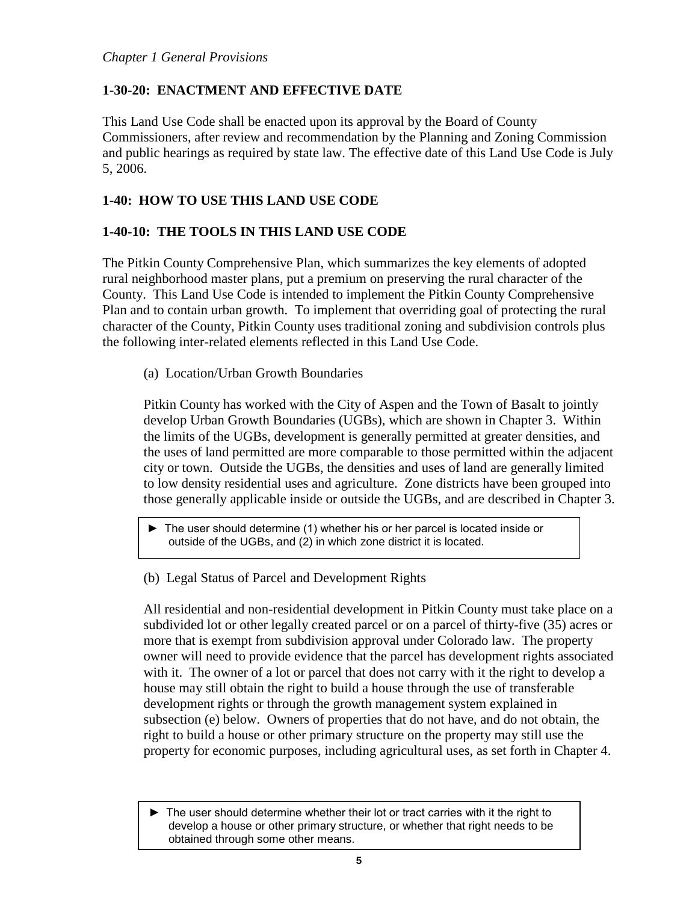## <span id="page-4-0"></span>**1-30-20: ENACTMENT AND EFFECTIVE DATE**

This Land Use Code shall be enacted upon its approval by the Board of County Commissioners, after review and recommendation by the Planning and Zoning Commission and public hearings as required by state law. The effective date of this Land Use Code is July 5, 2006.

## <span id="page-4-1"></span>**1-40: HOW TO USE THIS LAND USE CODE**

### <span id="page-4-2"></span>**1-40-10: THE TOOLS IN THIS LAND USE CODE**

The Pitkin County Comprehensive Plan, which summarizes the key elements of adopted rural neighborhood master plans, put a premium on preserving the rural character of the County. This Land Use Code is intended to implement the Pitkin County Comprehensive Plan and to contain urban growth. To implement that overriding goal of protecting the rural character of the County, Pitkin County uses traditional zoning and subdivision controls plus the following inter-related elements reflected in this Land Use Code.

(a) Location/Urban Growth Boundaries

Pitkin County has worked with the City of Aspen and the Town of Basalt to jointly develop Urban Growth Boundaries (UGBs), which are shown in Chapter 3. Within the limits of the UGBs, development is generally permitted at greater densities, and the uses of land permitted are more comparable to those permitted within the adjacent city or town. Outside the UGBs, the densities and uses of land are generally limited to low density residential uses and agriculture. Zone districts have been grouped into those generally applicable inside or outside the UGBs, and are described in Chapter 3.

► The user should determine (1) whether his or her parcel is located inside or outside of the UGBs, and (2) in which zone district it is located.

(b) Legal Status of Parcel and Development Rights

All residential and non-residential development in Pitkin County must take place on a subdivided lot or other legally created parcel or on a parcel of thirty-five (35) acres or more that is exempt from subdivision approval under Colorado law. The property owner will need to provide evidence that the parcel has development rights associated with it. The owner of a lot or parcel that does not carry with it the right to develop a house may still obtain the right to build a house through the use of transferable development rights or through the growth management system explained in subsection (e) below. Owners of properties that do not have, and do not obtain, the right to build a house or other primary structure on the property may still use the property for economic purposes, including agricultural uses, as set forth in Chapter 4.

► The user should determine whether their lot or tract carries with it the right to develop a house or other primary structure, or whether that right needs to be obtained through some other means.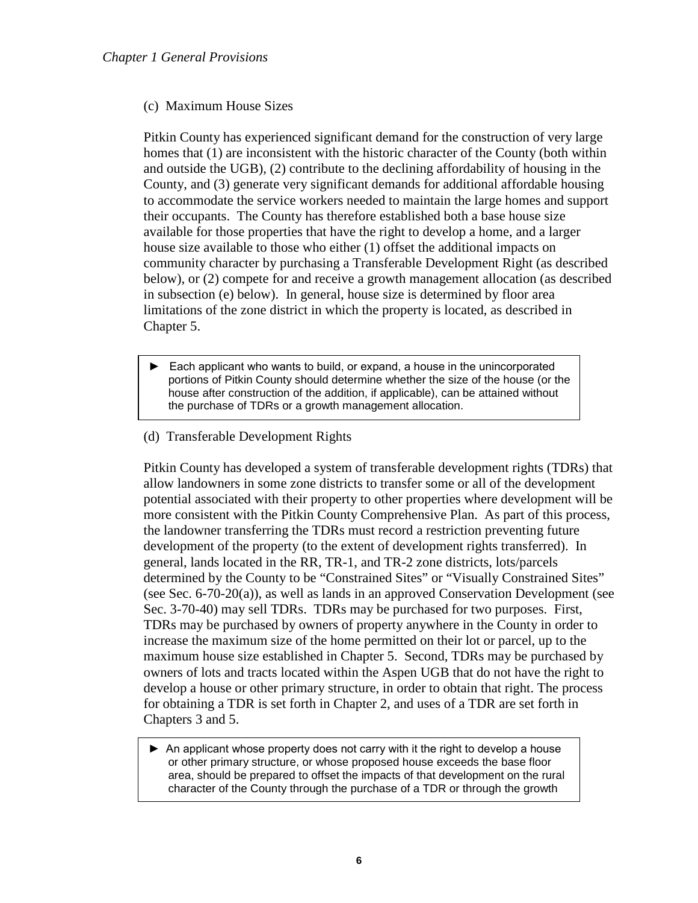#### (c) Maximum House Sizes

Pitkin County has experienced significant demand for the construction of very large homes that (1) are inconsistent with the historic character of the County (both within and outside the UGB), (2) contribute to the declining affordability of housing in the County, and (3) generate very significant demands for additional affordable housing to accommodate the service workers needed to maintain the large homes and support their occupants. The County has therefore established both a base house size available for those properties that have the right to develop a home, and a larger house size available to those who either (1) offset the additional impacts on community character by purchasing a Transferable Development Right (as described below), or (2) compete for and receive a growth management allocation (as described in subsection (e) below). In general, house size is determined by floor area limitations of the zone district in which the property is located, as described in Chapter 5.

- ► Each applicant who wants to build, or expand, a house in the unincorporated portions of Pitkin County should determine whether the size of the house (or the house after construction of the addition, if applicable), can be attained without the purchase of TDRs or a growth management allocation.
- (d) Transferable Development Rights

j

Pitkin County has developed a system of transferable development rights (TDRs) that allow landowners in some zone districts to transfer some or all of the development potential associated with their property to other properties where development will be more consistent with the Pitkin County Comprehensive Plan. As part of this process, the landowner transferring the TDRs must record a restriction preventing future development of the property (to the extent of development rights transferred). In general, lands located in the RR, TR-1, and TR-2 zone districts, lots/parcels determined by the County to be "Constrained Sites" or "Visually Constrained Sites" (see Sec. 6-70-20(a)), as well as lands in an approved Conservation Development (see Sec. 3-70-40) may sell TDRs. TDRs may be purchased for two purposes. First, TDRs may be purchased by owners of property anywhere in the County in order to increase the maximum size of the home permitted on their lot or parcel, up to the maximum house size established in Chapter 5. Second, TDRs may be purchased by owners of lots and tracts located within the Aspen UGB that do not have the right to develop a house or other primary structure, in order to obtain that right. The process for obtaining a TDR is set forth in Chapter 2, and uses of a TDR are set forth in Chapters 3 and 5.

► An applicant whose property does not carry with it the right to develop a house or other primary structure, or whose proposed house exceeds the base floor area, should be prepared to offset the impacts of that development on the rural character of the County through the purchase of a TDR or through the growth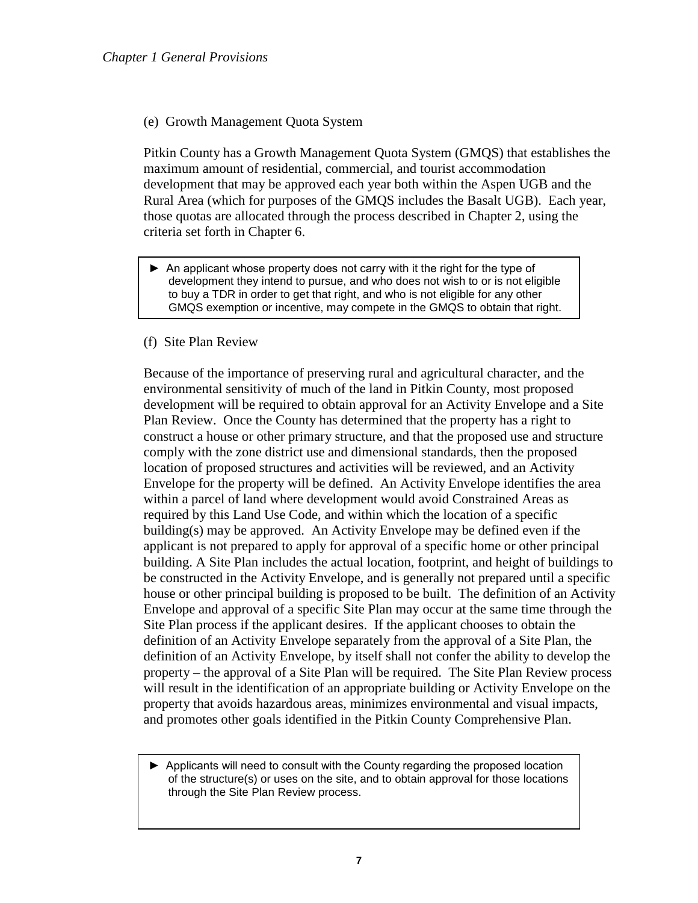#### (e) Growth Management Quota System

Pitkin County has a Growth Management Quota System (GMQS) that establishes the maximum amount of residential, commercial, and tourist accommodation development that may be approved each year both within the Aspen UGB and the Rural Area (which for purposes of the GMQS includes the Basalt UGB). Each year, those quotas are allocated through the process described in Chapter 2, using the criteria set forth in Chapter 6.

► An applicant whose property does not carry with it the right for the type of development they intend to pursue, and who does not wish to or is not eligible to buy a TDR in order to get that right, and who is not eligible for any other GMQS exemption or incentive, may compete in the GMQS to obtain that right.

#### (f) Site Plan Review

Because of the importance of preserving rural and agricultural character, and the environmental sensitivity of much of the land in Pitkin County, most proposed development will be required to obtain approval for an Activity Envelope and a Site Plan Review. Once the County has determined that the property has a right to construct a house or other primary structure, and that the proposed use and structure comply with the zone district use and dimensional standards, then the proposed location of proposed structures and activities will be reviewed, and an Activity Envelope for the property will be defined. An Activity Envelope identifies the area within a parcel of land where development would avoid Constrained Areas as required by this Land Use Code, and within which the location of a specific building(s) may be approved. An Activity Envelope may be defined even if the applicant is not prepared to apply for approval of a specific home or other principal building. A Site Plan includes the actual location, footprint, and height of buildings to be constructed in the Activity Envelope, and is generally not prepared until a specific house or other principal building is proposed to be built. The definition of an Activity Envelope and approval of a specific Site Plan may occur at the same time through the Site Plan process if the applicant desires. If the applicant chooses to obtain the definition of an Activity Envelope separately from the approval of a Site Plan, the definition of an Activity Envelope, by itself shall not confer the ability to develop the property – the approval of a Site Plan will be required. The Site Plan Review process will result in the identification of an appropriate building or Activity Envelope on the property that avoids hazardous areas, minimizes environmental and visual impacts, and promotes other goals identified in the Pitkin County Comprehensive Plan.

► Applicants will need to consult with the County regarding the proposed location of the structure(s) or uses on the site, and to obtain approval for those locations through the Site Plan Review process.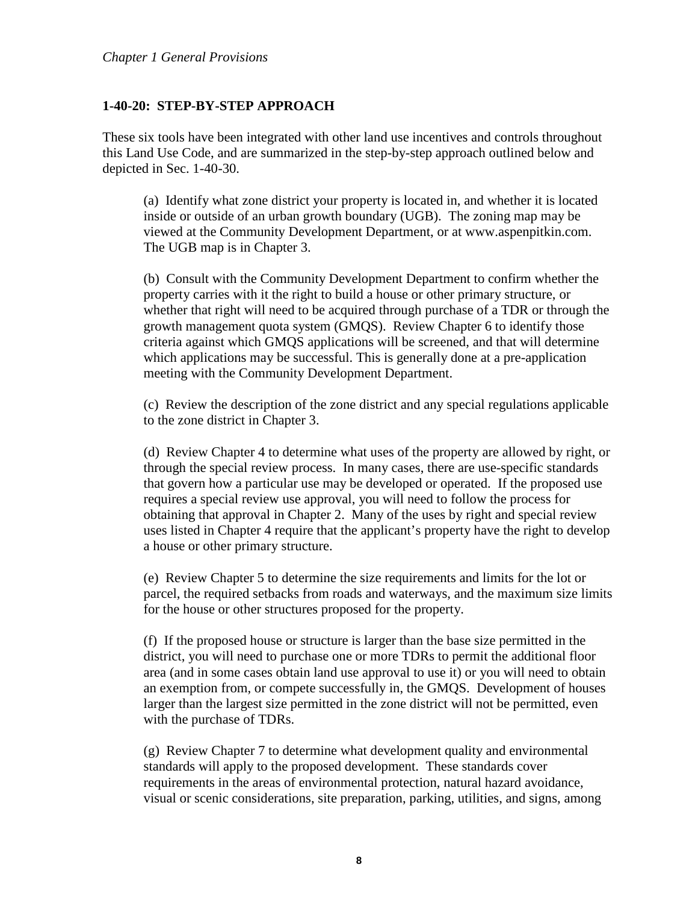#### <span id="page-7-0"></span>**1-40-20: STEP-BY-STEP APPROACH**

These six tools have been integrated with other land use incentives and controls throughout this Land Use Code, and are summarized in the step-by-step approach outlined below and depicted in Sec. 1-40-30.

(a) Identify what zone district your property is located in, and whether it is located inside or outside of an urban growth boundary (UGB). The zoning map may be viewed at the Community Development Department, or at www.aspenpitkin.com. The UGB map is in Chapter 3.

(b) Consult with the Community Development Department to confirm whether the property carries with it the right to build a house or other primary structure, or whether that right will need to be acquired through purchase of a TDR or through the growth management quota system (GMQS). Review Chapter 6 to identify those criteria against which GMQS applications will be screened, and that will determine which applications may be successful. This is generally done at a pre-application meeting with the Community Development Department.

(c) Review the description of the zone district and any special regulations applicable to the zone district in Chapter 3.

(d) Review Chapter 4 to determine what uses of the property are allowed by right, or through the special review process. In many cases, there are use-specific standards that govern how a particular use may be developed or operated. If the proposed use requires a special review use approval, you will need to follow the process for obtaining that approval in Chapter 2. Many of the uses by right and special review uses listed in Chapter 4 require that the applicant's property have the right to develop a house or other primary structure.

(e) Review Chapter 5 to determine the size requirements and limits for the lot or parcel, the required setbacks from roads and waterways, and the maximum size limits for the house or other structures proposed for the property.

(f) If the proposed house or structure is larger than the base size permitted in the district, you will need to purchase one or more TDRs to permit the additional floor area (and in some cases obtain land use approval to use it) or you will need to obtain an exemption from, or compete successfully in, the GMQS. Development of houses larger than the largest size permitted in the zone district will not be permitted, even with the purchase of TDRs.

(g) Review Chapter 7 to determine what development quality and environmental standards will apply to the proposed development. These standards cover requirements in the areas of environmental protection, natural hazard avoidance, visual or scenic considerations, site preparation, parking, utilities, and signs, among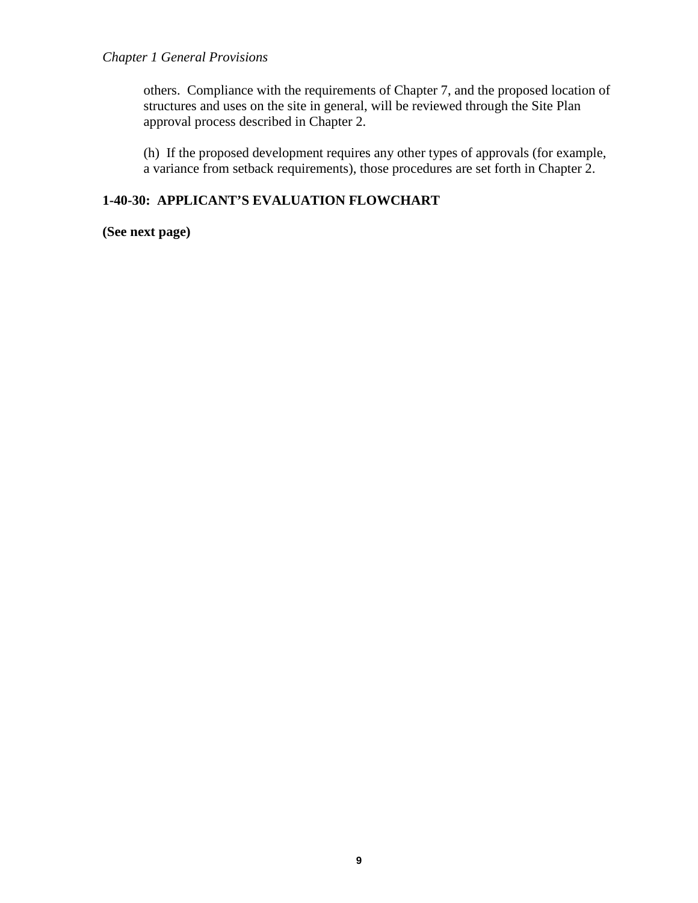others. Compliance with the requirements of Chapter 7, and the proposed location of structures and uses on the site in general, will be reviewed through the Site Plan approval process described in Chapter 2.

(h) If the proposed development requires any other types of approvals (for example, a variance from setback requirements), those procedures are set forth in Chapter 2.

## <span id="page-8-0"></span>**1-40-30: APPLICANT'S EVALUATION FLOWCHART**

**(See next page)**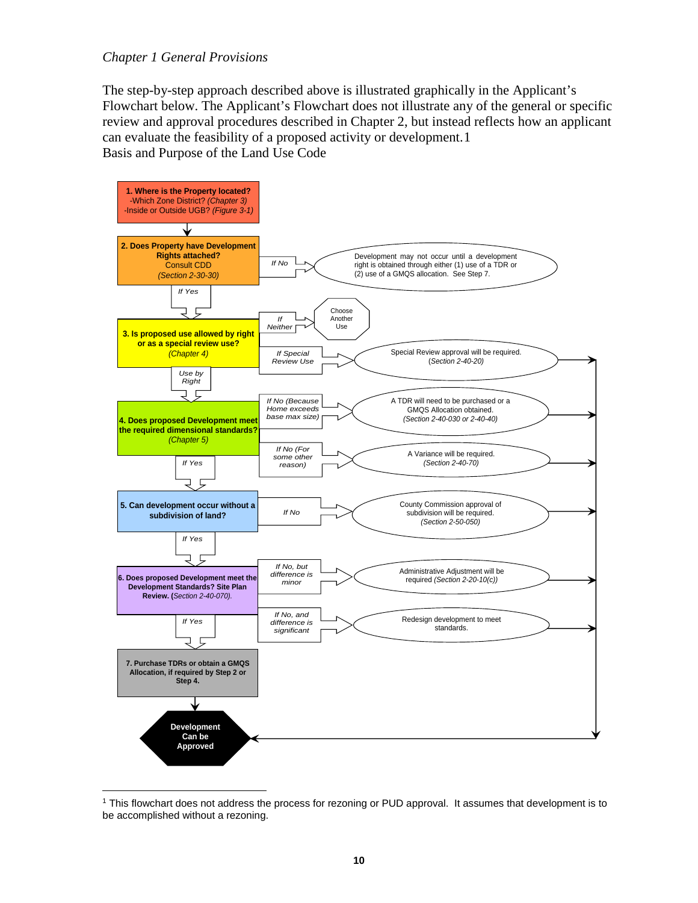The step-by-step approach described above is illustrated graphically in the Applicant's Flowchart below. The Applicant's Flowchart does not illustrate any of the general or specific review and approval procedures described in Chapter 2, but instead reflects how an applicant can evaluate the feasibility of a proposed activity or development.[1](#page-9-0) Basis and Purpose of the Land Use Code



<span id="page-9-0"></span> $\overline{a}$ <sup>1</sup> This flowchart does not address the process for rezoning or PUD approval. It assumes that development is to be accomplished without a rezoning.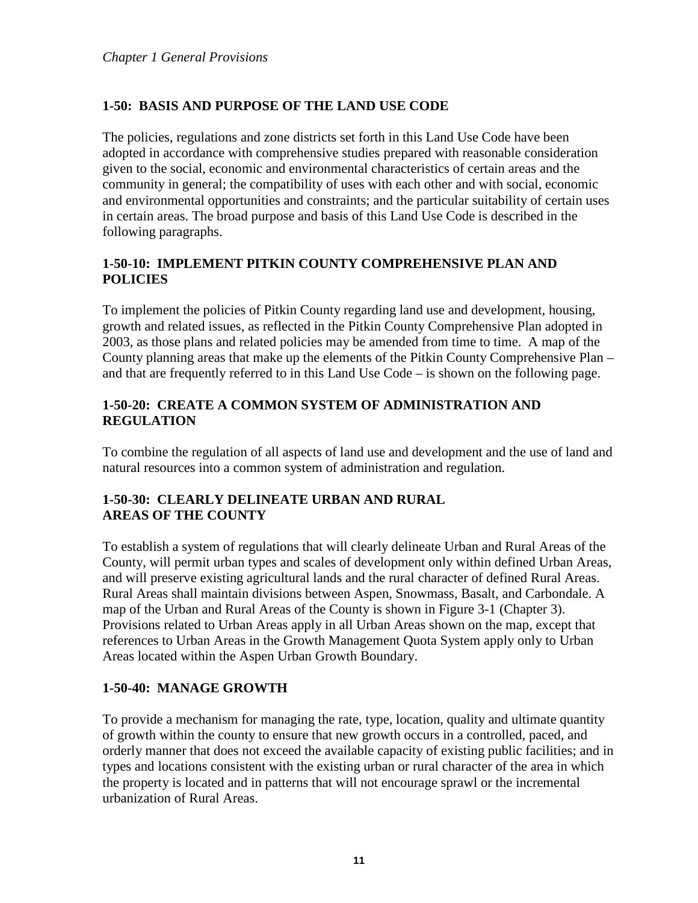# <span id="page-10-0"></span>**1-50: BASIS AND PURPOSE OF THE LAND USE CODE**

The policies, regulations and zone districts set forth in this Land Use Code have been adopted in accordance with comprehensive studies prepared with reasonable consideration given to the social, economic and environmental characteristics of certain areas and the community in general; the compatibility of uses with each other and with social, economic and environmental opportunities and constraints; and the particular suitability of certain uses in certain areas. The broad purpose and basis of this Land Use Code is described in the following paragraphs.

# <span id="page-10-1"></span>**1-50-10: IMPLEMENT PITKIN COUNTY COMPREHENSIVE PLAN AND POLICIES**

To implement the policies of Pitkin County regarding land use and development, housing, growth and related issues, as reflected in the Pitkin County Comprehensive Plan adopted in 2003, as those plans and related policies may be amended from time to time. A map of the County planning areas that make up the elements of the Pitkin County Comprehensive Plan – and that are frequently referred to in this Land Use Code – is shown on the following page.

## <span id="page-10-2"></span>**1-50-20: CREATE A COMMON SYSTEM OF ADMINISTRATION AND REGULATION**

To combine the regulation of all aspects of land use and development and the use of land and natural resources into a common system of administration and regulation.

## <span id="page-10-4"></span><span id="page-10-3"></span>**1-50-30: CLEARLY DELINEATE URBAN AND RURAL AREAS OF THE COUNTY**

To establish a system of regulations that will clearly delineate Urban and Rural Areas of the County, will permit urban types and scales of development only within defined Urban Areas, and will preserve existing agricultural lands and the rural character of defined Rural Areas. Rural Areas shall maintain divisions between Aspen, Snowmass, Basalt, and Carbondale. A map of the Urban and Rural Areas of the County is shown in Figure 3-1 (Chapter 3). Provisions related to Urban Areas apply in all Urban Areas shown on the map, except that references to Urban Areas in the Growth Management Quota System apply only to Urban Areas located within the Aspen Urban Growth Boundary.

# <span id="page-10-5"></span>**1-50-40: MANAGE GROWTH**

To provide a mechanism for managing the rate, type, location, quality and ultimate quantity of growth within the county to ensure that new growth occurs in a controlled, paced, and orderly manner that does not exceed the available capacity of existing public facilities; and in types and locations consistent with the existing urban or rural character of the area in which the property is located and in patterns that will not encourage sprawl or the incremental urbanization of Rural Areas.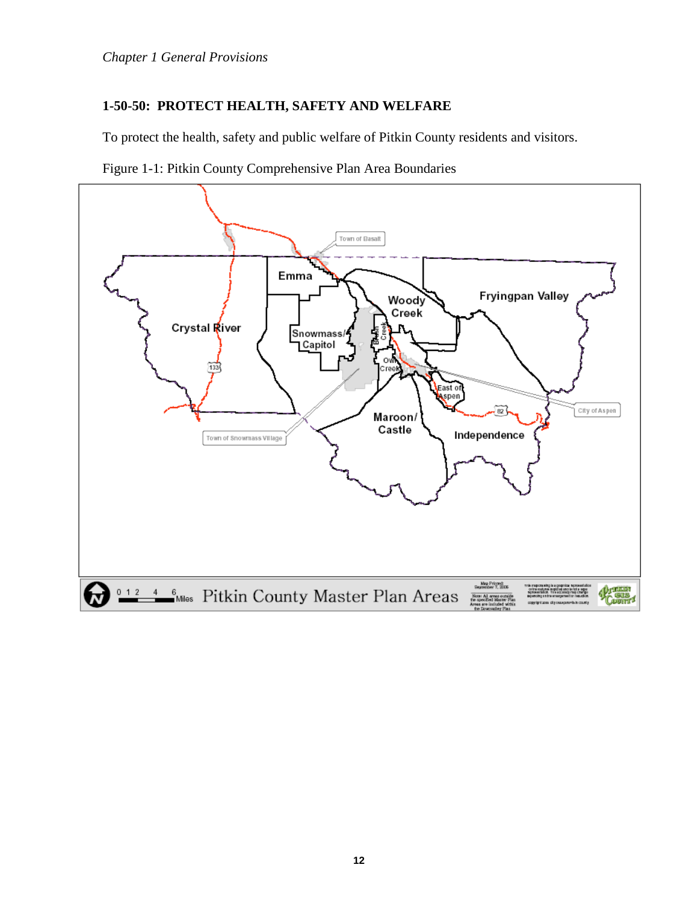## <span id="page-11-0"></span>**1-50-50: PROTECT HEALTH, SAFETY AND WELFARE**

To protect the health, safety and public welfare of Pitkin County residents and visitors.



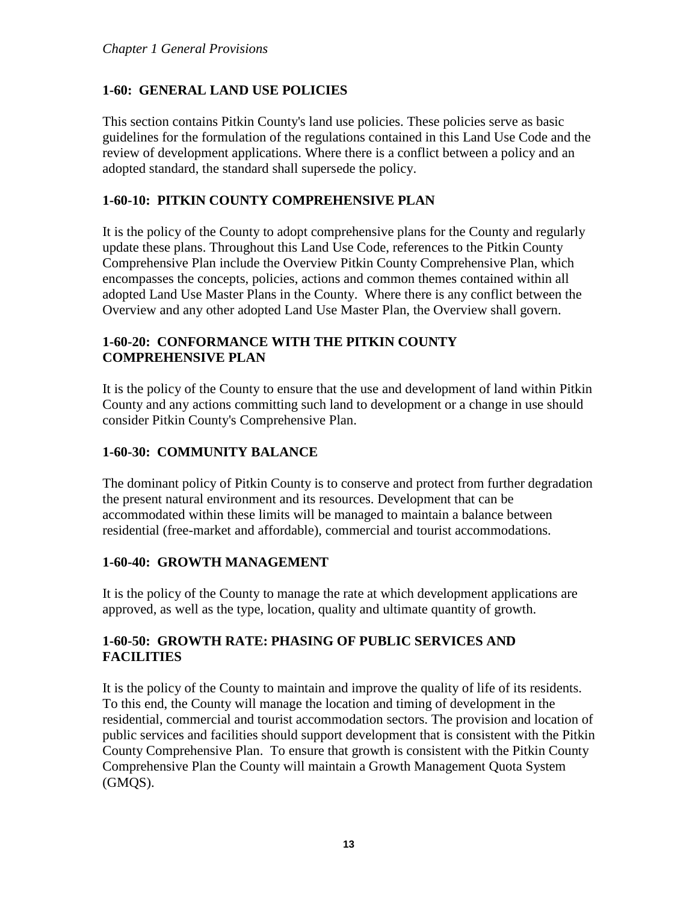# <span id="page-12-0"></span>**1-60: GENERAL LAND USE POLICIES**

This section contains Pitkin County's land use policies. These policies serve as basic guidelines for the formulation of the regulations contained in this Land Use Code and the review of development applications. Where there is a conflict between a policy and an adopted standard, the standard shall supersede the policy.

## <span id="page-12-1"></span>**1-60-10: PITKIN COUNTY COMPREHENSIVE PLAN**

It is the policy of the County to adopt comprehensive plans for the County and regularly update these plans. Throughout this Land Use Code, references to the Pitkin County Comprehensive Plan include the Overview Pitkin County Comprehensive Plan, which encompasses the concepts, policies, actions and common themes contained within all adopted Land Use Master Plans in the County. Where there is any conflict between the Overview and any other adopted Land Use Master Plan, the Overview shall govern.

## <span id="page-12-3"></span><span id="page-12-2"></span>**1-60-20: CONFORMANCE WITH THE PITKIN COUNTY COMPREHENSIVE PLAN**

It is the policy of the County to ensure that the use and development of land within Pitkin County and any actions committing such land to development or a change in use should consider Pitkin County's Comprehensive Plan.

## <span id="page-12-4"></span>**1-60-30: COMMUNITY BALANCE**

The dominant policy of Pitkin County is to conserve and protect from further degradation the present natural environment and its resources. Development that can be accommodated within these limits will be managed to maintain a balance between residential (free-market and affordable), commercial and tourist accommodations.

### <span id="page-12-5"></span>**1-60-40: GROWTH MANAGEMENT**

It is the policy of the County to manage the rate at which development applications are approved, as well as the type, location, quality and ultimate quantity of growth.

## <span id="page-12-6"></span>**1-60-50: GROWTH RATE: PHASING OF PUBLIC SERVICES AND FACILITIES**

It is the policy of the County to maintain and improve the quality of life of its residents. To this end, the County will manage the location and timing of development in the residential, commercial and tourist accommodation sectors. The provision and location of public services and facilities should support development that is consistent with the Pitkin County Comprehensive Plan. To ensure that growth is consistent with the Pitkin County Comprehensive Plan the County will maintain a Growth Management Quota System (GMQS).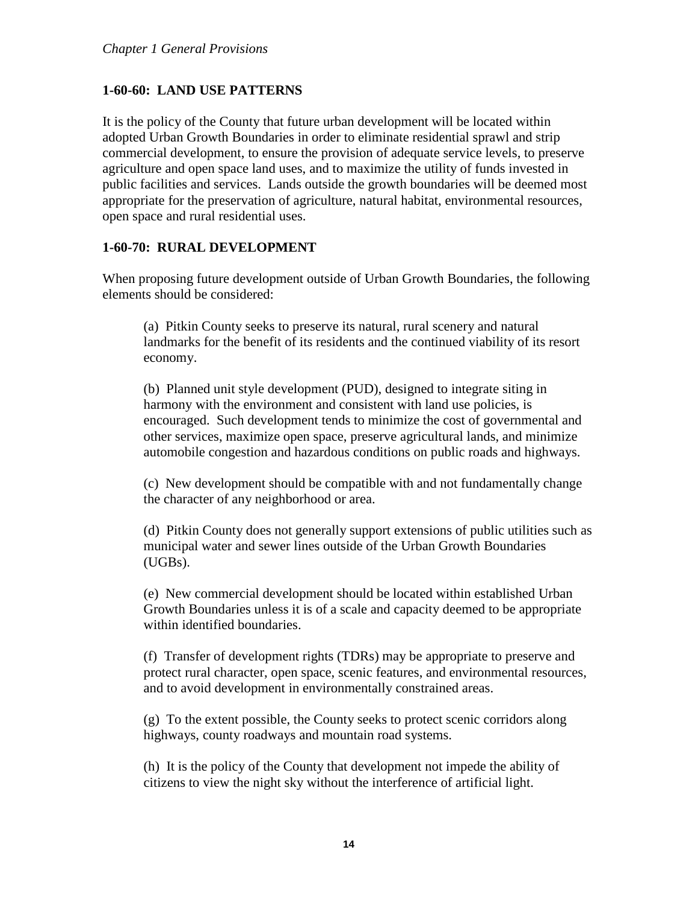## <span id="page-13-0"></span>**1-60-60: LAND USE PATTERNS**

It is the policy of the County that future urban development will be located within adopted Urban Growth Boundaries in order to eliminate residential sprawl and strip commercial development, to ensure the provision of adequate service levels, to preserve agriculture and open space land uses, and to maximize the utility of funds invested in public facilities and services. Lands outside the growth boundaries will be deemed most appropriate for the preservation of agriculture, natural habitat, environmental resources, open space and rural residential uses.

## <span id="page-13-1"></span>**1-60-70: RURAL DEVELOPMENT**

When proposing future development outside of Urban Growth Boundaries, the following elements should be considered:

(a) Pitkin County seeks to preserve its natural, rural scenery and natural landmarks for the benefit of its residents and the continued viability of its resort economy.

(b) Planned unit style development (PUD), designed to integrate siting in harmony with the environment and consistent with land use policies, is encouraged. Such development tends to minimize the cost of governmental and other services, maximize open space, preserve agricultural lands, and minimize automobile congestion and hazardous conditions on public roads and highways.

(c) New development should be compatible with and not fundamentally change the character of any neighborhood or area.

(d) Pitkin County does not generally support extensions of public utilities such as municipal water and sewer lines outside of the Urban Growth Boundaries (UGBs).

(e) New commercial development should be located within established Urban Growth Boundaries unless it is of a scale and capacity deemed to be appropriate within identified boundaries.

(f) Transfer of development rights (TDRs) may be appropriate to preserve and protect rural character, open space, scenic features, and environmental resources, and to avoid development in environmentally constrained areas.

(g) To the extent possible, the County seeks to protect scenic corridors along highways, county roadways and mountain road systems.

(h) It is the policy of the County that development not impede the ability of citizens to view the night sky without the interference of artificial light.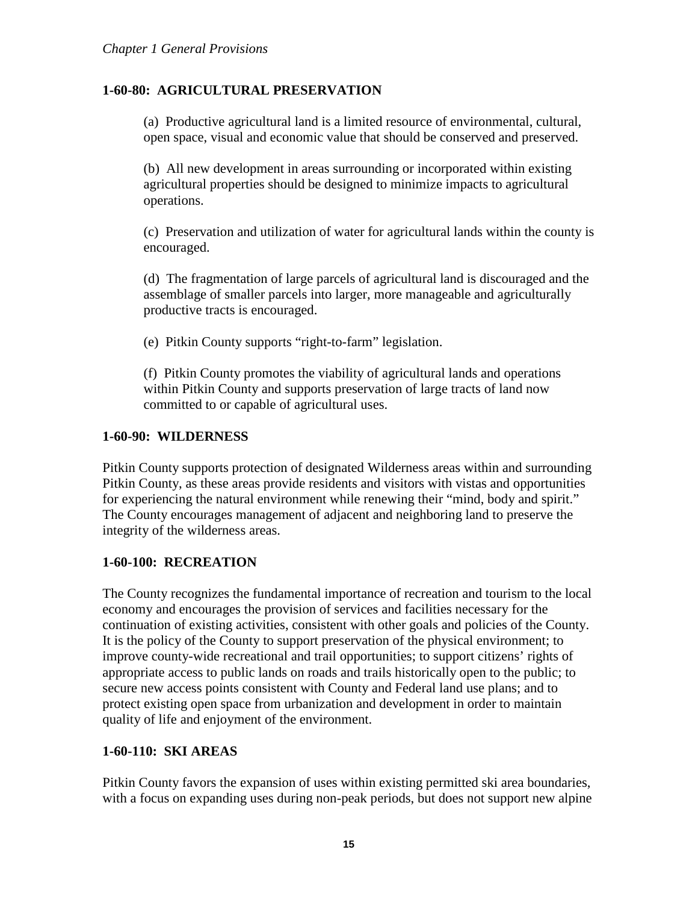## <span id="page-14-0"></span>**1-60-80: AGRICULTURAL PRESERVATION**

(a) Productive agricultural land is a limited resource of environmental, cultural, open space, visual and economic value that should be conserved and preserved.

(b) All new development in areas surrounding or incorporated within existing agricultural properties should be designed to minimize impacts to agricultural operations.

(c) Preservation and utilization of water for agricultural lands within the county is encouraged.

(d) The fragmentation of large parcels of agricultural land is discouraged and the assemblage of smaller parcels into larger, more manageable and agriculturally productive tracts is encouraged.

(e) Pitkin County supports "right-to-farm" legislation.

(f) Pitkin County promotes the viability of agricultural lands and operations within Pitkin County and supports preservation of large tracts of land now committed to or capable of agricultural uses.

#### <span id="page-14-1"></span>**1-60-90: WILDERNESS**

Pitkin County supports protection of designated Wilderness areas within and surrounding Pitkin County, as these areas provide residents and visitors with vistas and opportunities for experiencing the natural environment while renewing their "mind, body and spirit." The County encourages management of adjacent and neighboring land to preserve the integrity of the wilderness areas.

### <span id="page-14-2"></span>**1-60-100: RECREATION**

The County recognizes the fundamental importance of recreation and tourism to the local economy and encourages the provision of services and facilities necessary for the continuation of existing activities, consistent with other goals and policies of the County. It is the policy of the County to support preservation of the physical environment; to improve county-wide recreational and trail opportunities; to support citizens' rights of appropriate access to public lands on roads and trails historically open to the public; to secure new access points consistent with County and Federal land use plans; and to protect existing open space from urbanization and development in order to maintain quality of life and enjoyment of the environment.

### <span id="page-14-3"></span>**1-60-110: SKI AREAS**

Pitkin County favors the expansion of uses within existing permitted ski area boundaries, with a focus on expanding uses during non-peak periods, but does not support new alpine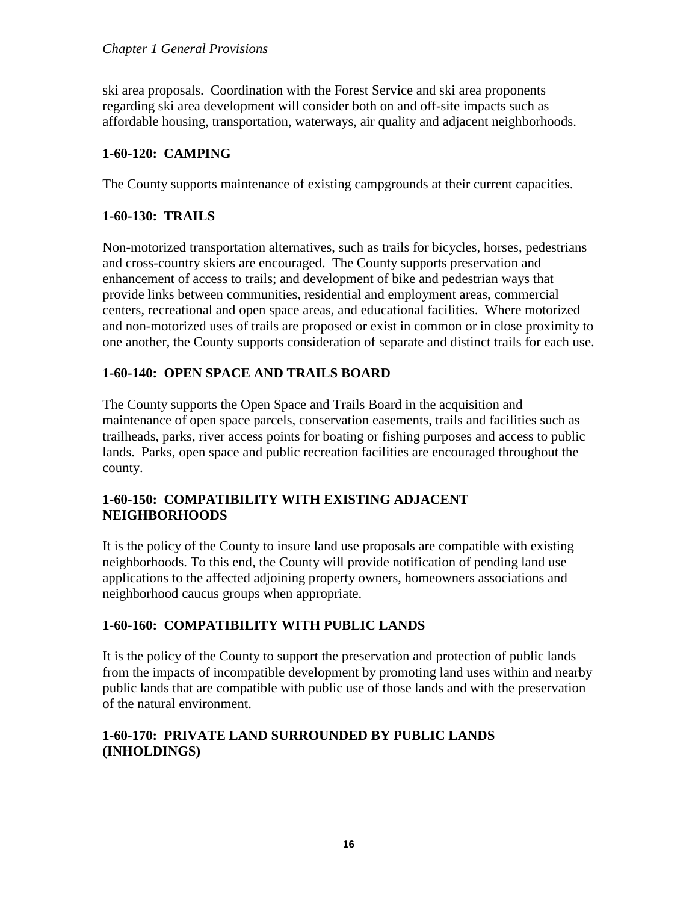ski area proposals. Coordination with the Forest Service and ski area proponents regarding ski area development will consider both on and off-site impacts such as affordable housing, transportation, waterways, air quality and adjacent neighborhoods.

#### <span id="page-15-0"></span>**1-60-120: CAMPING**

The County supports maintenance of existing campgrounds at their current capacities.

#### <span id="page-15-1"></span>**1-60-130: TRAILS**

Non-motorized transportation alternatives, such as trails for bicycles, horses, pedestrians and cross-country skiers are encouraged. The County supports preservation and enhancement of access to trails; and development of bike and pedestrian ways that provide links between communities, residential and employment areas, commercial centers, recreational and open space areas, and educational facilities. Where motorized and non-motorized uses of trails are proposed or exist in common or in close proximity to one another, the County supports consideration of separate and distinct trails for each use.

### <span id="page-15-2"></span>**1-60-140: OPEN SPACE AND TRAILS BOARD**

The County supports the Open Space and Trails Board in the acquisition and maintenance of open space parcels, conservation easements, trails and facilities such as trailheads, parks, river access points for boating or fishing purposes and access to public lands. Parks, open space and public recreation facilities are encouraged throughout the county.

### <span id="page-15-3"></span>**1-60-150: COMPATIBILITY WITH EXISTING ADJACENT NEIGHBORHOODS**

It is the policy of the County to insure land use proposals are compatible with existing neighborhoods. To this end, the County will provide notification of pending land use applications to the affected adjoining property owners, homeowners associations and neighborhood caucus groups when appropriate.

### <span id="page-15-4"></span>**1-60-160: COMPATIBILITY WITH PUBLIC LANDS**

It is the policy of the County to support the preservation and protection of public lands from the impacts of incompatible development by promoting land uses within and nearby public lands that are compatible with public use of those lands and with the preservation of the natural environment.

## <span id="page-15-5"></span>**1-60-170: PRIVATE LAND SURROUNDED BY PUBLIC LANDS (INHOLDINGS)**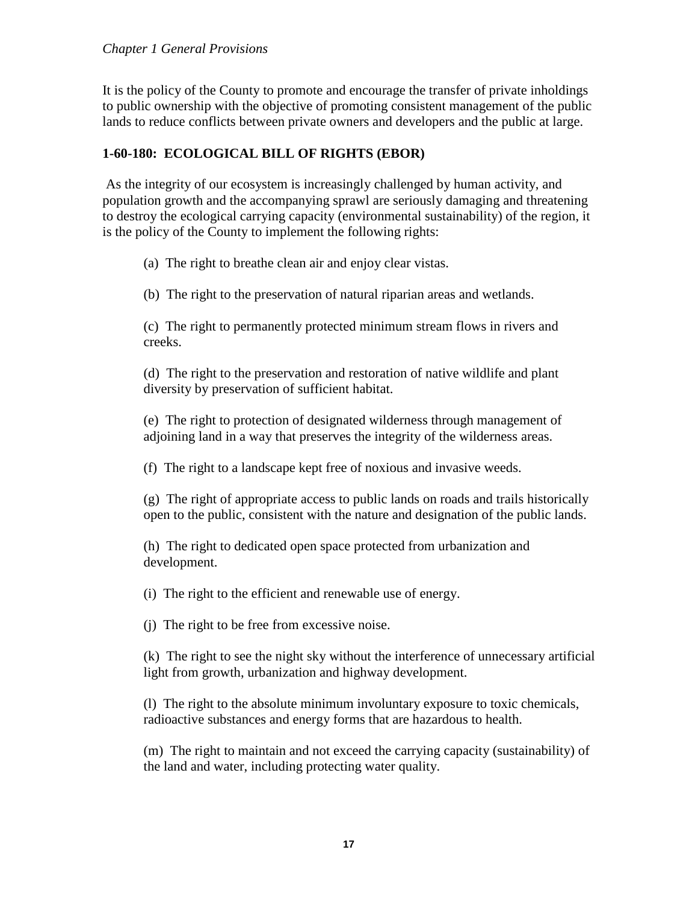It is the policy of the County to promote and encourage the transfer of private inholdings to public ownership with the objective of promoting consistent management of the public lands to reduce conflicts between private owners and developers and the public at large.

#### <span id="page-16-0"></span>**1-60-180: ECOLOGICAL BILL OF RIGHTS (EBOR)**

As the integrity of our ecosystem is increasingly challenged by human activity, and population growth and the accompanying sprawl are seriously damaging and threatening to destroy the ecological carrying capacity (environmental sustainability) of the region, it is the policy of the County to implement the following rights:

(a) The right to breathe clean air and enjoy clear vistas.

(b) The right to the preservation of natural riparian areas and wetlands.

(c) The right to permanently protected minimum stream flows in rivers and creeks.

(d) The right to the preservation and restoration of native wildlife and plant diversity by preservation of sufficient habitat.

(e) The right to protection of designated wilderness through management of adjoining land in a way that preserves the integrity of the wilderness areas.

(f) The right to a landscape kept free of noxious and invasive weeds.

(g) The right of appropriate access to public lands on roads and trails historically open to the public, consistent with the nature and designation of the public lands.

(h) The right to dedicated open space protected from urbanization and development.

(i) The right to the efficient and renewable use of energy.

(j) The right to be free from excessive noise.

(k) The right to see the night sky without the interference of unnecessary artificial light from growth, urbanization and highway development.

(l) The right to the absolute minimum involuntary exposure to toxic chemicals, radioactive substances and energy forms that are hazardous to health.

(m) The right to maintain and not exceed the carrying capacity (sustainability) of the land and water, including protecting water quality.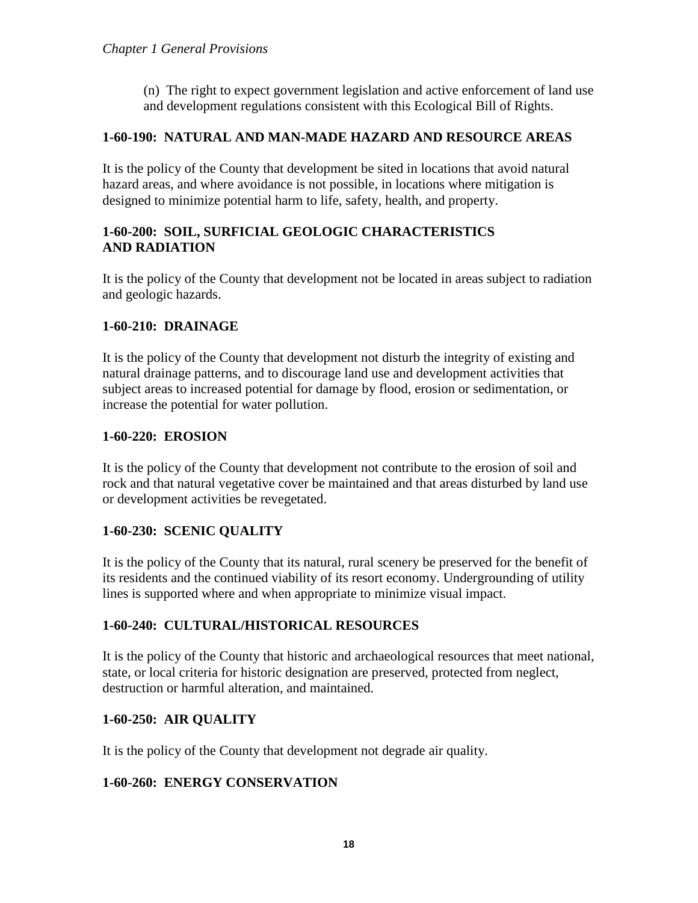(n) The right to expect government legislation and active enforcement of land use and development regulations consistent with this Ecological Bill of Rights.

#### <span id="page-17-0"></span>**1-60-190: NATURAL AND MAN-MADE HAZARD AND RESOURCE AREAS**

It is the policy of the County that development be sited in locations that avoid natural hazard areas, and where avoidance is not possible, in locations where mitigation is designed to minimize potential harm to life, safety, health, and property.

### <span id="page-17-2"></span><span id="page-17-1"></span>**1-60-200: SOIL, SURFICIAL GEOLOGIC CHARACTERISTICS AND RADIATION**

It is the policy of the County that development not be located in areas subject to radiation and geologic hazards.

#### <span id="page-17-3"></span>**1-60-210: DRAINAGE**

It is the policy of the County that development not disturb the integrity of existing and natural drainage patterns, and to discourage land use and development activities that subject areas to increased potential for damage by flood, erosion or sedimentation, or increase the potential for water pollution.

#### <span id="page-17-4"></span>**1-60-220: EROSION**

It is the policy of the County that development not contribute to the erosion of soil and rock and that natural vegetative cover be maintained and that areas disturbed by land use or development activities be revegetated.

### <span id="page-17-5"></span>**1-60-230: SCENIC QUALITY**

It is the policy of the County that its natural, rural scenery be preserved for the benefit of its residents and the continued viability of its resort economy. Undergrounding of utility lines is supported where and when appropriate to minimize visual impact.

### <span id="page-17-6"></span>**1-60-240: CULTURAL/HISTORICAL RESOURCES**

It is the policy of the County that historic and archaeological resources that meet national, state, or local criteria for historic designation are preserved, protected from neglect, destruction or harmful alteration, and maintained.

### <span id="page-17-7"></span>**1-60-250: AIR QUALITY**

It is the policy of the County that development not degrade air quality.

### <span id="page-17-8"></span>**1-60-260: ENERGY CONSERVATION**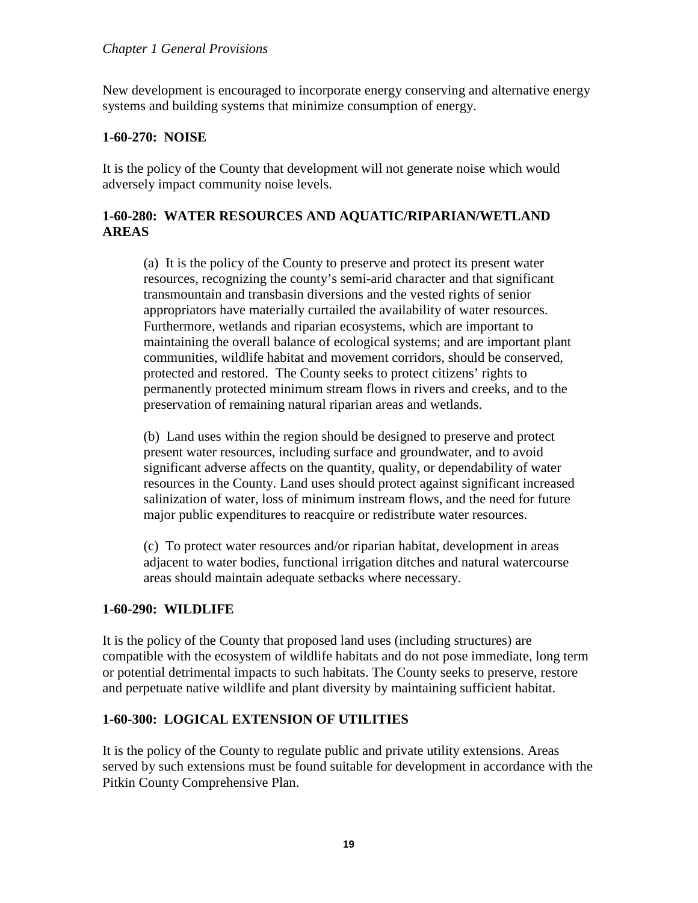New development is encouraged to incorporate energy conserving and alternative energy systems and building systems that minimize consumption of energy.

#### <span id="page-18-0"></span>**1-60-270: NOISE**

It is the policy of the County that development will not generate noise which would adversely impact community noise levels.

### <span id="page-18-1"></span>**1-60-280: WATER RESOURCES AND AQUATIC/RIPARIAN/WETLAND AREAS**

(a) It is the policy of the County to preserve and protect its present water resources, recognizing the county's semi-arid character and that significant transmountain and transbasin diversions and the vested rights of senior appropriators have materially curtailed the availability of water resources. Furthermore, wetlands and riparian ecosystems, which are important to maintaining the overall balance of ecological systems; and are important plant communities, wildlife habitat and movement corridors, should be conserved, protected and restored. The County seeks to protect citizens' rights to permanently protected minimum stream flows in rivers and creeks, and to the preservation of remaining natural riparian areas and wetlands.

(b) Land uses within the region should be designed to preserve and protect present water resources, including surface and groundwater, and to avoid significant adverse affects on the quantity, quality, or dependability of water resources in the County. Land uses should protect against significant increased salinization of water, loss of minimum instream flows, and the need for future major public expenditures to reacquire or redistribute water resources.

(c) To protect water resources and/or riparian habitat, development in areas adjacent to water bodies, functional irrigation ditches and natural watercourse areas should maintain adequate setbacks where necessary.

### <span id="page-18-2"></span>**1-60-290: WILDLIFE**

It is the policy of the County that proposed land uses (including structures) are compatible with the ecosystem of wildlife habitats and do not pose immediate, long term or potential detrimental impacts to such habitats. The County seeks to preserve, restore and perpetuate native wildlife and plant diversity by maintaining sufficient habitat.

#### <span id="page-18-3"></span>**1-60-300: LOGICAL EXTENSION OF UTILITIES**

It is the policy of the County to regulate public and private utility extensions. Areas served by such extensions must be found suitable for development in accordance with the Pitkin County Comprehensive Plan.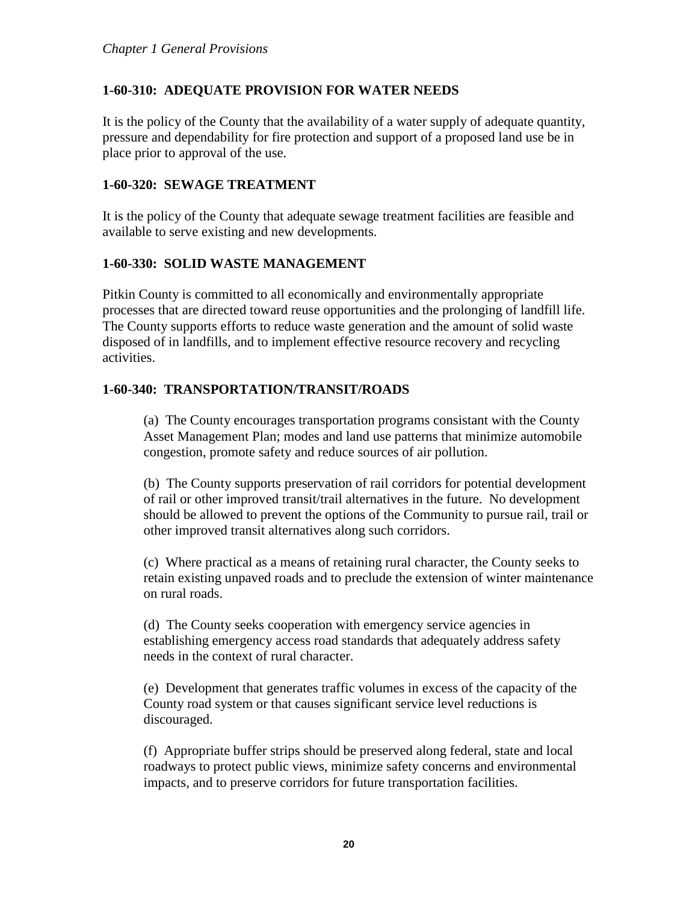## <span id="page-19-0"></span>**1-60-310: ADEQUATE PROVISION FOR WATER NEEDS**

It is the policy of the County that the availability of a water supply of adequate quantity, pressure and dependability for fire protection and support of a proposed land use be in place prior to approval of the use.

#### <span id="page-19-1"></span>**1-60-320: SEWAGE TREATMENT**

It is the policy of the County that adequate sewage treatment facilities are feasible and available to serve existing and new developments.

### <span id="page-19-2"></span>**1-60-330: SOLID WASTE MANAGEMENT**

Pitkin County is committed to all economically and environmentally appropriate processes that are directed toward reuse opportunities and the prolonging of landfill life. The County supports efforts to reduce waste generation and the amount of solid waste disposed of in landfills, and to implement effective resource recovery and recycling activities.

### <span id="page-19-3"></span>**1-60-340: TRANSPORTATION/TRANSIT/ROADS**

(a) The County encourages transportation programs consistant with the County Asset Management Plan; modes and land use patterns that minimize automobile congestion, promote safety and reduce sources of air pollution.

(b) The County supports preservation of rail corridors for potential development of rail or other improved transit/trail alternatives in the future. No development should be allowed to prevent the options of the Community to pursue rail, trail or other improved transit alternatives along such corridors.

(c) Where practical as a means of retaining rural character, the County seeks to retain existing unpaved roads and to preclude the extension of winter maintenance on rural roads.

(d) The County seeks cooperation with emergency service agencies in establishing emergency access road standards that adequately address safety needs in the context of rural character.

(e) Development that generates traffic volumes in excess of the capacity of the County road system or that causes significant service level reductions is discouraged.

(f) Appropriate buffer strips should be preserved along federal, state and local roadways to protect public views, minimize safety concerns and environmental impacts, and to preserve corridors for future transportation facilities.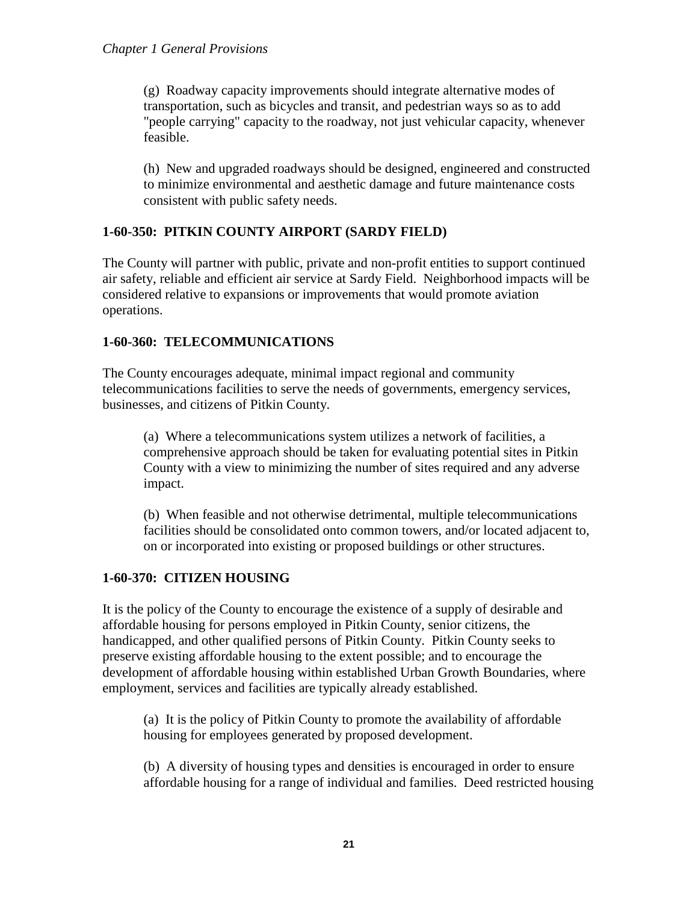(g) Roadway capacity improvements should integrate alternative modes of transportation, such as bicycles and transit, and pedestrian ways so as to add "people carrying" capacity to the roadway, not just vehicular capacity, whenever feasible.

(h) New and upgraded roadways should be designed, engineered and constructed to minimize environmental and aesthetic damage and future maintenance costs consistent with public safety needs.

## <span id="page-20-0"></span>**1-60-350: PITKIN COUNTY AIRPORT (SARDY FIELD)**

The County will partner with public, private and non-profit entities to support continued air safety, reliable and efficient air service at Sardy Field. Neighborhood impacts will be considered relative to expansions or improvements that would promote aviation operations.

## <span id="page-20-1"></span>**1-60-360: TELECOMMUNICATIONS**

The County encourages adequate, minimal impact regional and community telecommunications facilities to serve the needs of governments, emergency services, businesses, and citizens of Pitkin County.

(a) Where a telecommunications system utilizes a network of facilities, a comprehensive approach should be taken for evaluating potential sites in Pitkin County with a view to minimizing the number of sites required and any adverse impact.

(b) When feasible and not otherwise detrimental, multiple telecommunications facilities should be consolidated onto common towers, and/or located adjacent to, on or incorporated into existing or proposed buildings or other structures.

### <span id="page-20-2"></span>**1-60-370: CITIZEN HOUSING**

It is the policy of the County to encourage the existence of a supply of desirable and affordable housing for persons employed in Pitkin County, senior citizens, the handicapped, and other qualified persons of Pitkin County. Pitkin County seeks to preserve existing affordable housing to the extent possible; and to encourage the development of affordable housing within established Urban Growth Boundaries, where employment, services and facilities are typically already established.

(a) It is the policy of Pitkin County to promote the availability of affordable housing for employees generated by proposed development.

(b) A diversity of housing types and densities is encouraged in order to ensure affordable housing for a range of individual and families. Deed restricted housing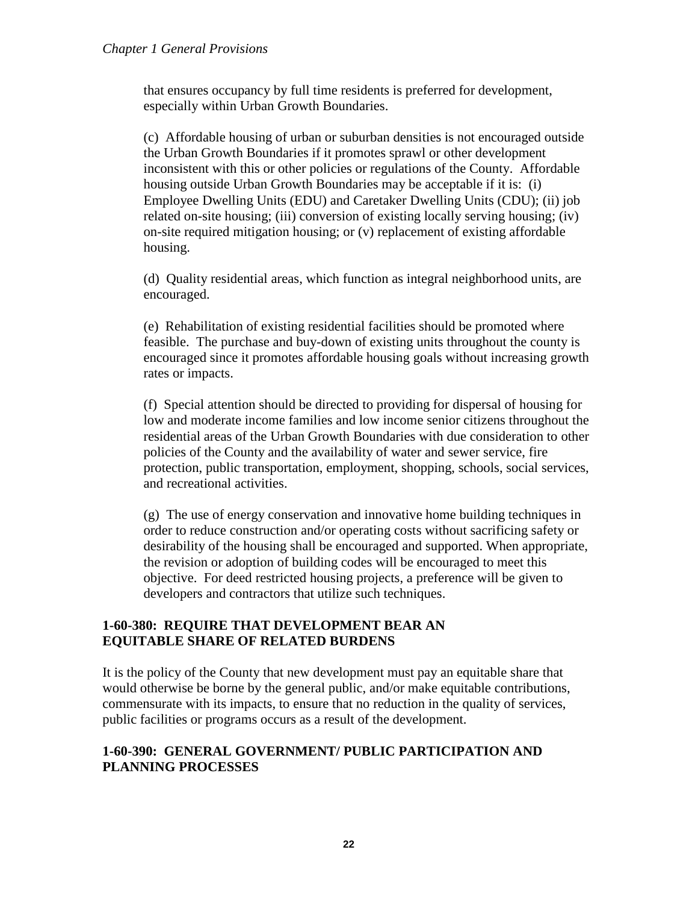that ensures occupancy by full time residents is preferred for development, especially within Urban Growth Boundaries.

(c) Affordable housing of urban or suburban densities is not encouraged outside the Urban Growth Boundaries if it promotes sprawl or other development inconsistent with this or other policies or regulations of the County. Affordable housing outside Urban Growth Boundaries may be acceptable if it is: (i) Employee Dwelling Units (EDU) and Caretaker Dwelling Units (CDU); (ii) job related on-site housing; (iii) conversion of existing locally serving housing; (iv) on-site required mitigation housing; or (v) replacement of existing affordable housing.

(d) Quality residential areas, which function as integral neighborhood units, are encouraged.

(e) Rehabilitation of existing residential facilities should be promoted where feasible. The purchase and buy-down of existing units throughout the county is encouraged since it promotes affordable housing goals without increasing growth rates or impacts.

(f) Special attention should be directed to providing for dispersal of housing for low and moderate income families and low income senior citizens throughout the residential areas of the Urban Growth Boundaries with due consideration to other policies of the County and the availability of water and sewer service, fire protection, public transportation, employment, shopping, schools, social services, and recreational activities.

(g) The use of energy conservation and innovative home building techniques in order to reduce construction and/or operating costs without sacrificing safety or desirability of the housing shall be encouraged and supported. When appropriate, the revision or adoption of building codes will be encouraged to meet this objective. For deed restricted housing projects, a preference will be given to developers and contractors that utilize such techniques.

### <span id="page-21-1"></span><span id="page-21-0"></span>**1-60-380: REQUIRE THAT DEVELOPMENT BEAR AN EQUITABLE SHARE OF RELATED BURDENS**

It is the policy of the County that new development must pay an equitable share that would otherwise be borne by the general public, and/or make equitable contributions, commensurate with its impacts, to ensure that no reduction in the quality of services, public facilities or programs occurs as a result of the development.

### <span id="page-21-2"></span>**1-60-390: GENERAL GOVERNMENT/ PUBLIC PARTICIPATION AND PLANNING PROCESSES**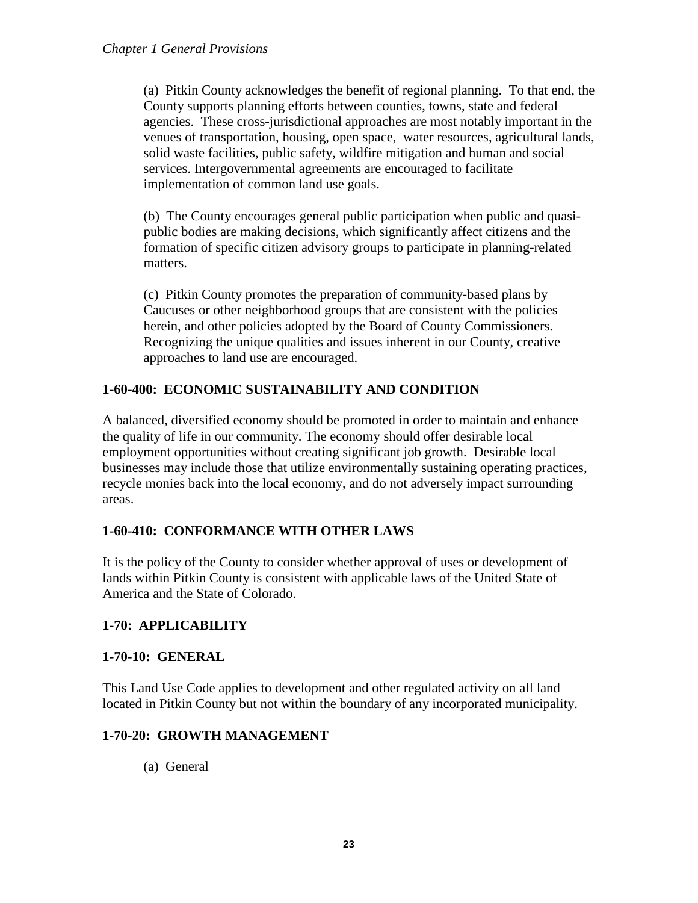(a) Pitkin County acknowledges the benefit of regional planning. To that end, the County supports planning efforts between counties, towns, state and federal agencies. These cross-jurisdictional approaches are most notably important in the venues of transportation, housing, open space, water resources, agricultural lands, solid waste facilities, public safety, wildfire mitigation and human and social services. Intergovernmental agreements are encouraged to facilitate implementation of common land use goals.

(b) The County encourages general public participation when public and quasipublic bodies are making decisions, which significantly affect citizens and the formation of specific citizen advisory groups to participate in planning-related matters.

(c) Pitkin County promotes the preparation of community-based plans by Caucuses or other neighborhood groups that are consistent with the policies herein, and other policies adopted by the Board of County Commissioners. Recognizing the unique qualities and issues inherent in our County, creative approaches to land use are encouraged.

# <span id="page-22-0"></span>**1-60-400: ECONOMIC SUSTAINABILITY AND CONDITION**

A balanced, diversified economy should be promoted in order to maintain and enhance the quality of life in our community. The economy should offer desirable local employment opportunities without creating significant job growth. Desirable local businesses may include those that utilize environmentally sustaining operating practices, recycle monies back into the local economy, and do not adversely impact surrounding areas.

# <span id="page-22-1"></span>**1-60-410: CONFORMANCE WITH OTHER LAWS**

It is the policy of the County to consider whether approval of uses or development of lands within Pitkin County is consistent with applicable laws of the United State of America and the State of Colorado.

### <span id="page-22-2"></span>**1-70: APPLICABILITY**

### <span id="page-22-3"></span>**1-70-10: GENERAL**

This Land Use Code applies to development and other regulated activity on all land located in Pitkin County but not within the boundary of any incorporated municipality.

### <span id="page-22-4"></span>**1-70-20: GROWTH MANAGEMENT**

(a) General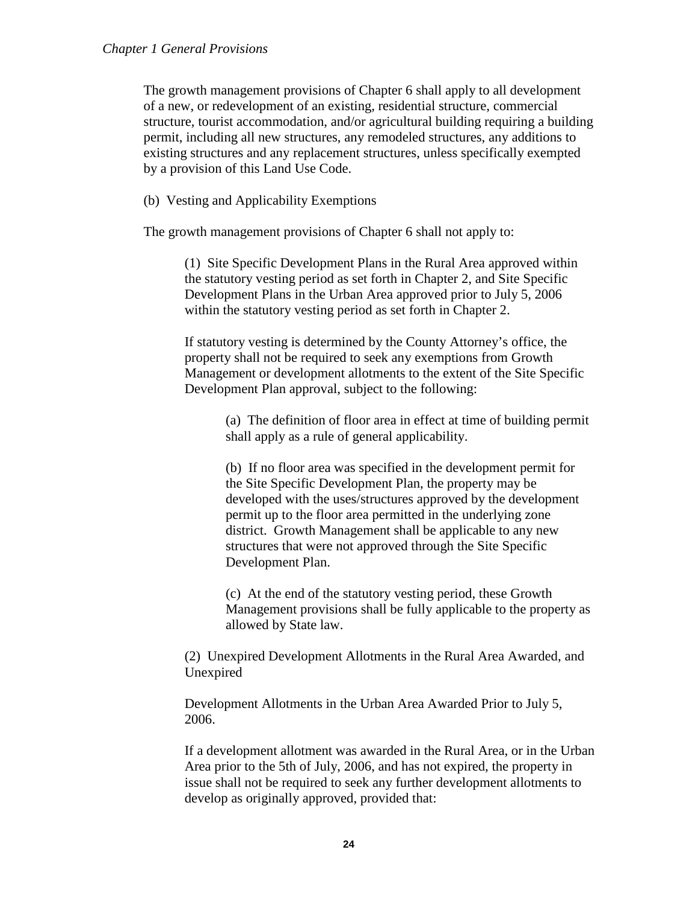The growth management provisions of Chapter 6 shall apply to all development of a new, or redevelopment of an existing, residential structure, commercial structure, tourist accommodation, and/or agricultural building requiring a building permit, including all new structures, any remodeled structures, any additions to existing structures and any replacement structures, unless specifically exempted by a provision of this Land Use Code.

(b) Vesting and Applicability Exemptions

The growth management provisions of Chapter 6 shall not apply to:

(1) Site Specific Development Plans in the Rural Area approved within the statutory vesting period as set forth in Chapter 2, and Site Specific Development Plans in the Urban Area approved prior to July 5, 2006 within the statutory vesting period as set forth in Chapter 2.

If statutory vesting is determined by the County Attorney's office, the property shall not be required to seek any exemptions from Growth Management or development allotments to the extent of the Site Specific Development Plan approval, subject to the following:

> (a) The definition of floor area in effect at time of building permit shall apply as a rule of general applicability.

(b) If no floor area was specified in the development permit for the Site Specific Development Plan, the property may be developed with the uses/structures approved by the development permit up to the floor area permitted in the underlying zone district. Growth Management shall be applicable to any new structures that were not approved through the Site Specific Development Plan.

(c) At the end of the statutory vesting period, these Growth Management provisions shall be fully applicable to the property as allowed by State law.

(2) Unexpired Development Allotments in the Rural Area Awarded, and Unexpired

Development Allotments in the Urban Area Awarded Prior to July 5, 2006.

If a development allotment was awarded in the Rural Area, or in the Urban Area prior to the 5th of July, 2006, and has not expired, the property in issue shall not be required to seek any further development allotments to develop as originally approved, provided that: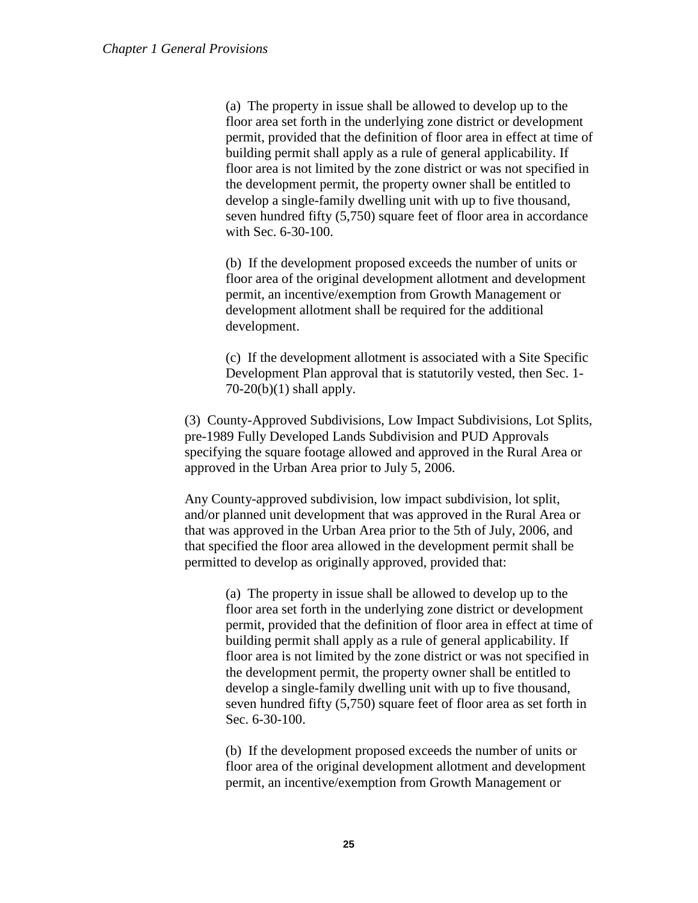(a) The property in issue shall be allowed to develop up to the floor area set forth in the underlying zone district or development permit, provided that the definition of floor area in effect at time of building permit shall apply as a rule of general applicability. If floor area is not limited by the zone district or was not specified in the development permit, the property owner shall be entitled to develop a single-family dwelling unit with up to five thousand, seven hundred fifty (5,750) square feet of floor area in accordance with Sec. 6-30-100.

(b) If the development proposed exceeds the number of units or floor area of the original development allotment and development permit, an incentive/exemption from Growth Management or development allotment shall be required for the additional development.

(c) If the development allotment is associated with a Site Specific Development Plan approval that is statutorily vested, then Sec. 1-  $70-20(b)(1)$  shall apply.

(3) County-Approved Subdivisions, Low Impact Subdivisions, Lot Splits, pre-1989 Fully Developed Lands Subdivision and PUD Approvals specifying the square footage allowed and approved in the Rural Area or approved in the Urban Area prior to July 5, 2006.

Any County-approved subdivision, low impact subdivision, lot split, and/or planned unit development that was approved in the Rural Area or that was approved in the Urban Area prior to the 5th of July, 2006, and that specified the floor area allowed in the development permit shall be permitted to develop as originally approved, provided that:

> (a) The property in issue shall be allowed to develop up to the floor area set forth in the underlying zone district or development permit, provided that the definition of floor area in effect at time of building permit shall apply as a rule of general applicability. If floor area is not limited by the zone district or was not specified in the development permit, the property owner shall be entitled to develop a single-family dwelling unit with up to five thousand, seven hundred fifty (5,750) square feet of floor area as set forth in Sec. 6-30-100.

(b) If the development proposed exceeds the number of units or floor area of the original development allotment and development permit, an incentive/exemption from Growth Management or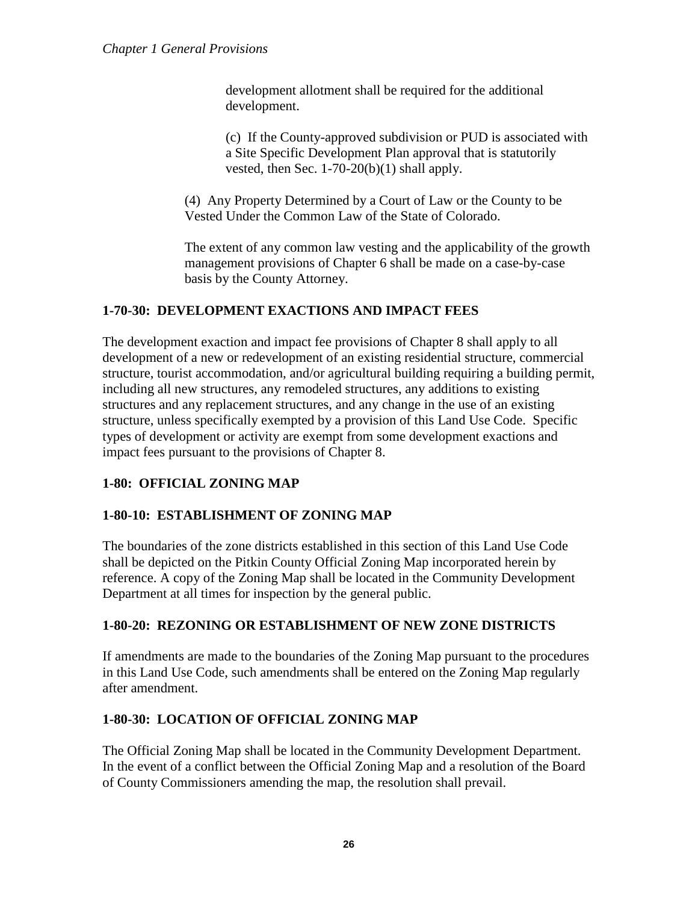development allotment shall be required for the additional development.

(c) If the County-approved subdivision or PUD is associated with a Site Specific Development Plan approval that is statutorily vested, then Sec. 1-70-20(b)(1) shall apply.

(4) Any Property Determined by a Court of Law or the County to be Vested Under the Common Law of the State of Colorado.

The extent of any common law vesting and the applicability of the growth management provisions of Chapter 6 shall be made on a case-by-case basis by the County Attorney.

### <span id="page-25-0"></span>**1-70-30: DEVELOPMENT EXACTIONS AND IMPACT FEES**

The development exaction and impact fee provisions of Chapter 8 shall apply to all development of a new or redevelopment of an existing residential structure, commercial structure, tourist accommodation, and/or agricultural building requiring a building permit, including all new structures, any remodeled structures, any additions to existing structures and any replacement structures, and any change in the use of an existing structure, unless specifically exempted by a provision of this Land Use Code. Specific types of development or activity are exempt from some development exactions and impact fees pursuant to the provisions of Chapter 8.

### <span id="page-25-1"></span>**1-80: OFFICIAL ZONING MAP**

### <span id="page-25-2"></span>**1-80-10: ESTABLISHMENT OF ZONING MAP**

The boundaries of the zone districts established in this section of this Land Use Code shall be depicted on the Pitkin County Official Zoning Map incorporated herein by reference. A copy of the Zoning Map shall be located in the Community Development Department at all times for inspection by the general public.

### <span id="page-25-3"></span>**1-80-20: REZONING OR ESTABLISHMENT OF NEW ZONE DISTRICTS**

If amendments are made to the boundaries of the Zoning Map pursuant to the procedures in this Land Use Code, such amendments shall be entered on the Zoning Map regularly after amendment.

### <span id="page-25-4"></span>**1-80-30: LOCATION OF OFFICIAL ZONING MAP**

The Official Zoning Map shall be located in the Community Development Department. In the event of a conflict between the Official Zoning Map and a resolution of the Board of County Commissioners amending the map, the resolution shall prevail.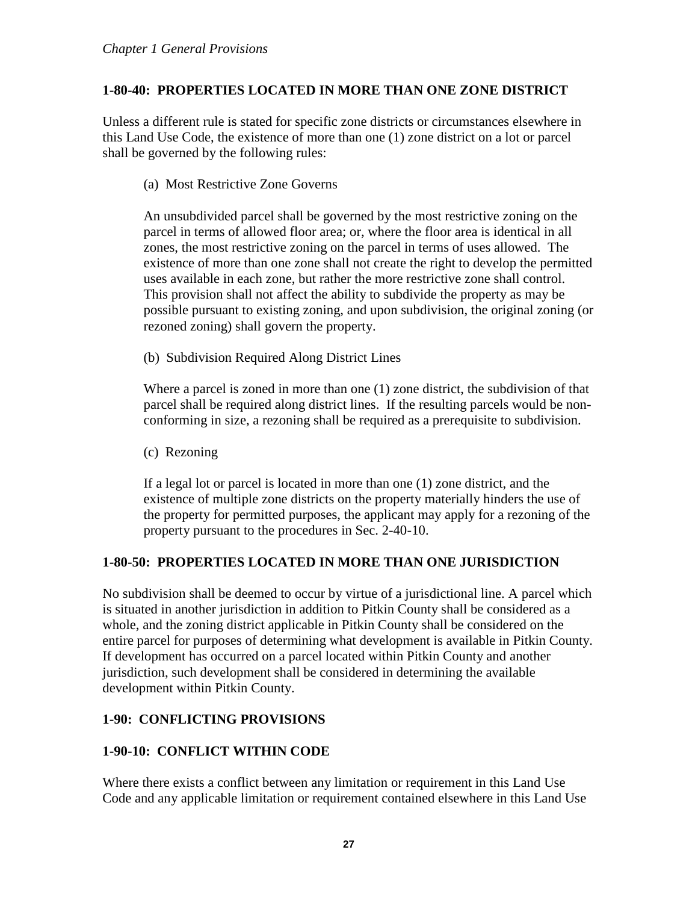## <span id="page-26-0"></span>**1-80-40: PROPERTIES LOCATED IN MORE THAN ONE ZONE DISTRICT**

Unless a different rule is stated for specific zone districts or circumstances elsewhere in this Land Use Code, the existence of more than one (1) zone district on a lot or parcel shall be governed by the following rules:

(a) Most Restrictive Zone Governs

An unsubdivided parcel shall be governed by the most restrictive zoning on the parcel in terms of allowed floor area; or, where the floor area is identical in all zones, the most restrictive zoning on the parcel in terms of uses allowed. The existence of more than one zone shall not create the right to develop the permitted uses available in each zone, but rather the more restrictive zone shall control. This provision shall not affect the ability to subdivide the property as may be possible pursuant to existing zoning, and upon subdivision, the original zoning (or rezoned zoning) shall govern the property.

(b) Subdivision Required Along District Lines

Where a parcel is zoned in more than one (1) zone district, the subdivision of that parcel shall be required along district lines. If the resulting parcels would be nonconforming in size, a rezoning shall be required as a prerequisite to subdivision.

(c) Rezoning

If a legal lot or parcel is located in more than one (1) zone district, and the existence of multiple zone districts on the property materially hinders the use of the property for permitted purposes, the applicant may apply for a rezoning of the property pursuant to the procedures in Sec. 2-40-10.

# <span id="page-26-1"></span>**1-80-50: PROPERTIES LOCATED IN MORE THAN ONE JURISDICTION**

No subdivision shall be deemed to occur by virtue of a jurisdictional line. A parcel which is situated in another jurisdiction in addition to Pitkin County shall be considered as a whole, and the zoning district applicable in Pitkin County shall be considered on the entire parcel for purposes of determining what development is available in Pitkin County. If development has occurred on a parcel located within Pitkin County and another jurisdiction, such development shall be considered in determining the available development within Pitkin County.

# <span id="page-26-2"></span>**1-90: CONFLICTING PROVISIONS**

# <span id="page-26-3"></span>**1-90-10: CONFLICT WITHIN CODE**

Where there exists a conflict between any limitation or requirement in this Land Use Code and any applicable limitation or requirement contained elsewhere in this Land Use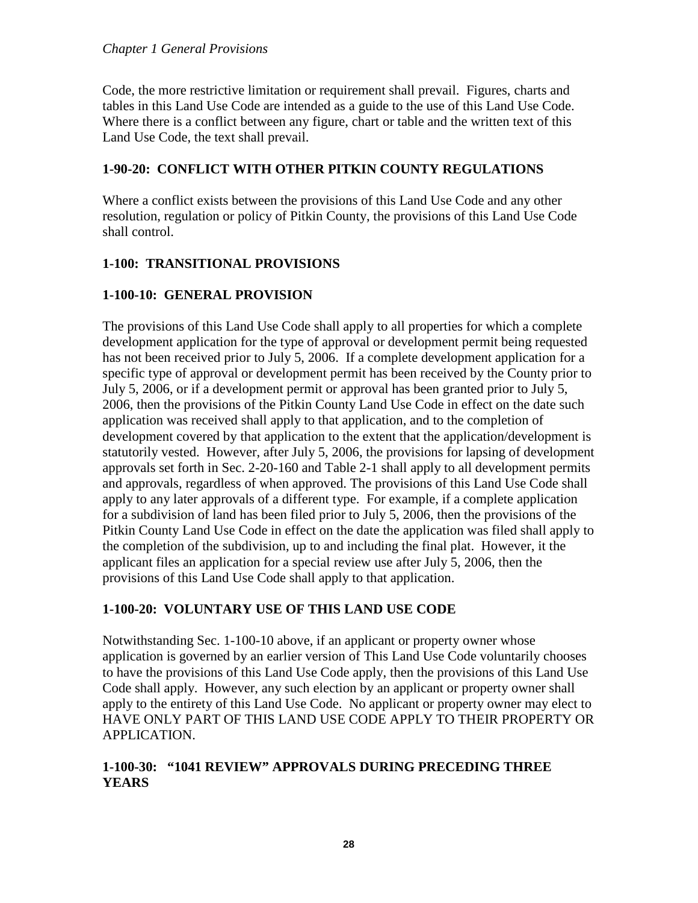Code, the more restrictive limitation or requirement shall prevail. Figures, charts and tables in this Land Use Code are intended as a guide to the use of this Land Use Code. Where there is a conflict between any figure, chart or table and the written text of this Land Use Code, the text shall prevail.

#### <span id="page-27-0"></span>**1-90-20: CONFLICT WITH OTHER PITKIN COUNTY REGULATIONS**

Where a conflict exists between the provisions of this Land Use Code and any other resolution, regulation or policy of Pitkin County, the provisions of this Land Use Code shall control.

### <span id="page-27-1"></span>**1-100: TRANSITIONAL PROVISIONS**

## <span id="page-27-2"></span>**1-100-10: GENERAL PROVISION**

The provisions of this Land Use Code shall apply to all properties for which a complete development application for the type of approval or development permit being requested has not been received prior to July 5, 2006. If a complete development application for a specific type of approval or development permit has been received by the County prior to July 5, 2006, or if a development permit or approval has been granted prior to July 5, 2006, then the provisions of the Pitkin County Land Use Code in effect on the date such application was received shall apply to that application, and to the completion of development covered by that application to the extent that the application/development is statutorily vested. However, after July 5, 2006, the provisions for lapsing of development approvals set forth in Sec. 2-20-160 and Table 2-1 shall apply to all development permits and approvals, regardless of when approved. The provisions of this Land Use Code shall apply to any later approvals of a different type. For example, if a complete application for a subdivision of land has been filed prior to July 5, 2006, then the provisions of the Pitkin County Land Use Code in effect on the date the application was filed shall apply to the completion of the subdivision, up to and including the final plat. However, it the applicant files an application for a special review use after July 5, 2006, then the provisions of this Land Use Code shall apply to that application.

### <span id="page-27-3"></span>**1-100-20: VOLUNTARY USE OF THIS LAND USE CODE**

Notwithstanding Sec. 1-100-10 above, if an applicant or property owner whose application is governed by an earlier version of This Land Use Code voluntarily chooses to have the provisions of this Land Use Code apply, then the provisions of this Land Use Code shall apply. However, any such election by an applicant or property owner shall apply to the entirety of this Land Use Code. No applicant or property owner may elect to HAVE ONLY PART OF THIS LAND USE CODE APPLY TO THEIR PROPERTY OR APPLICATION.

#### <span id="page-27-4"></span>**1-100-30: "1041 REVIEW" APPROVALS DURING PRECEDING THREE YEARS**